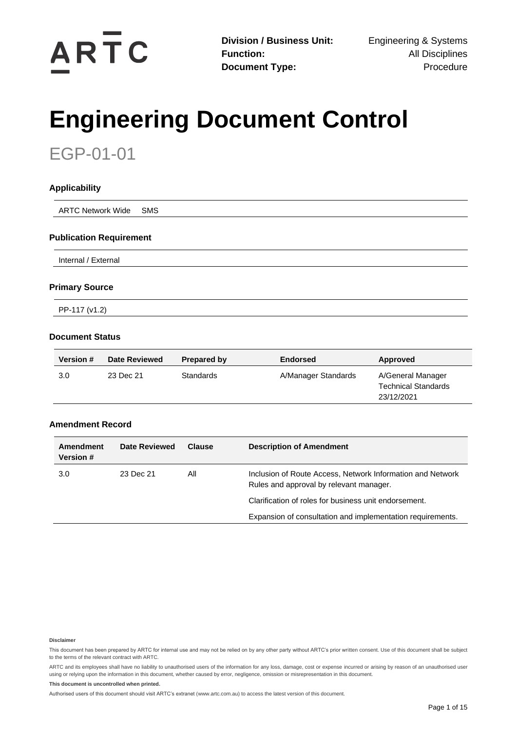

# **Engineering Document Control**

EGP-01-01

| <b>Applicability</b>           |  |  |
|--------------------------------|--|--|
| <b>ARTC Network Wide SMS</b>   |  |  |
| <b>Publication Requirement</b> |  |  |

Internal / External

#### **Primary Source**

PP-117 (v1.2)

### **Document Status**

| <b>Version #</b> | <b>Date Reviewed</b> | Prepared by | <b>Endorsed</b>     | Approved                                                      |
|------------------|----------------------|-------------|---------------------|---------------------------------------------------------------|
| 3.0              | 23 Dec 21            | Standards   | A/Manager Standards | A/General Manager<br><b>Technical Standards</b><br>23/12/2021 |

### **Amendment Record**

| Amendment<br><b>Version #</b> | Date Reviewed | Clause | <b>Description of Amendment</b>                                                                       |
|-------------------------------|---------------|--------|-------------------------------------------------------------------------------------------------------|
| 3.0                           | 23 Dec 21     | All    | Inclusion of Route Access, Network Information and Network<br>Rules and approval by relevant manager. |
|                               |               |        | Clarification of roles for business unit endorsement.                                                 |
|                               |               |        | Expansion of consultation and implementation requirements.                                            |

#### **Disclaimer**

This document has been prepared by ARTC for internal use and may not be relied on by any other party without ARTC's prior written consent. Use of this document shall be subject to the terms of the relevant contract with ARTC.

ARTC and its employees shall have no liability to unauthorised users of the information for any loss, damage, cost or expense incurred or arising by reason of an unauthorised user using or relying upon the information in this document, whether caused by error, negligence, omission or misrepresentation in this document.

#### **This document is uncontrolled when printed.**

Authorised users of this document should visit ARTC's extranet [\(www.artc.com.au\)](http://www.artc.com.au/) to access the latest version of this document.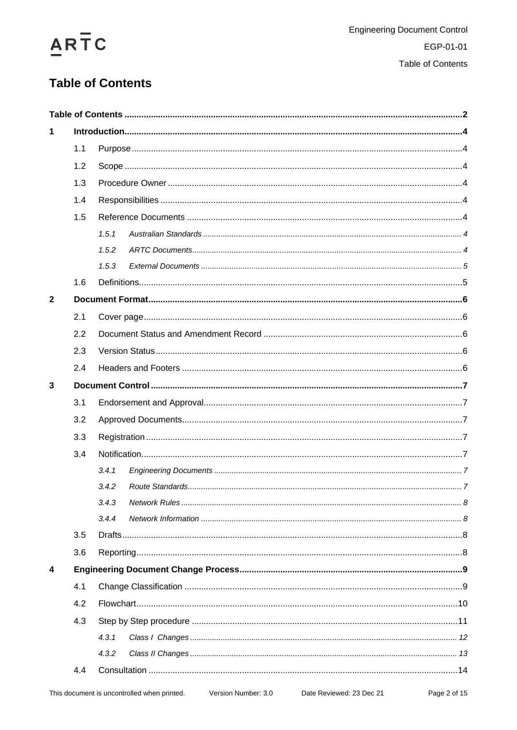# ARTC

## <span id="page-1-0"></span>**Table of Contents**

| 1            |     |       |  |  |  |
|--------------|-----|-------|--|--|--|
|              | 1.1 |       |  |  |  |
|              | 1.2 |       |  |  |  |
|              | 1.3 |       |  |  |  |
|              | 1.4 |       |  |  |  |
|              | 1.5 |       |  |  |  |
|              |     | 1.5.1 |  |  |  |
|              |     | 1.5.2 |  |  |  |
|              |     | 1.5.3 |  |  |  |
|              | 1.6 |       |  |  |  |
| $\mathbf{2}$ |     |       |  |  |  |
|              | 2.1 |       |  |  |  |
|              | 2.2 |       |  |  |  |
|              | 2.3 |       |  |  |  |
|              | 2.4 |       |  |  |  |
| 3            |     |       |  |  |  |
|              | 3.1 |       |  |  |  |
|              | 3.2 |       |  |  |  |
|              | 3.3 |       |  |  |  |
|              | 3.4 |       |  |  |  |
|              |     | 3.4.1 |  |  |  |
|              |     | 3.4.2 |  |  |  |
|              |     | 3.4.3 |  |  |  |
|              |     | 3.4.4 |  |  |  |
|              | 3.5 |       |  |  |  |
|              | 3.6 |       |  |  |  |
| 4            |     |       |  |  |  |
|              | 4.1 |       |  |  |  |
|              | 4.2 |       |  |  |  |
|              | 4.3 |       |  |  |  |
|              |     | 4.3.1 |  |  |  |
|              |     | 4.3.2 |  |  |  |
|              | 4.4 |       |  |  |  |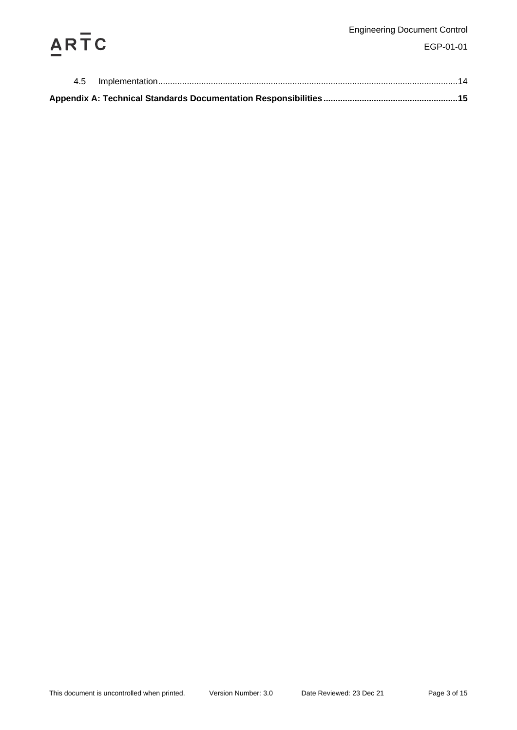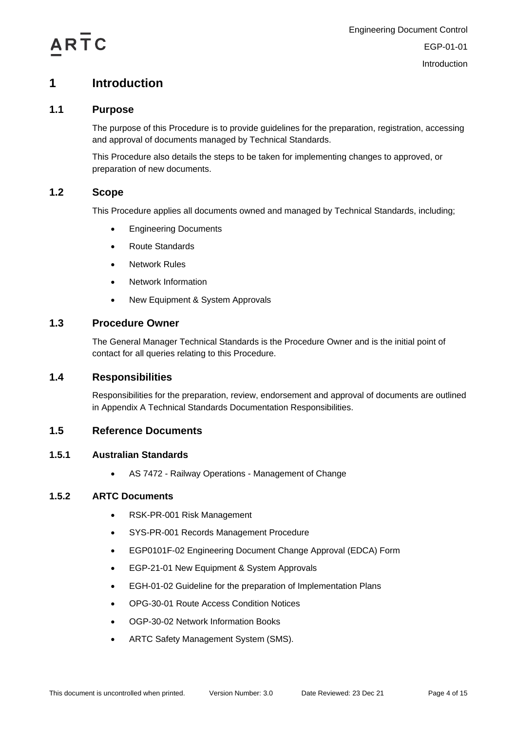

## <span id="page-3-0"></span>**1 Introduction**

## **1.1 Purpose**

<span id="page-3-1"></span>The purpose of this Procedure is to provide guidelines for the preparation, registration, accessing and approval of documents managed by Technical Standards.

This Procedure also details the steps to be taken for implementing changes to approved, or preparation of new documents.

## <span id="page-3-2"></span>**1.2 Scope**

This Procedure applies all documents owned and managed by Technical Standards, including;

- Engineering Documents
- Route Standards
- Network Rules
- Network Information
- New Equipment & System Approvals

## <span id="page-3-3"></span>**1.3 Procedure Owner**

The General Manager Technical Standards is the Procedure Owner and is the initial point of contact for all queries relating to this Procedure.

## <span id="page-3-4"></span>**1.4 Responsibilities**

Responsibilities for the preparation, review, endorsement and approval of documents are outlined in Appendix A Technical Standards Documentation Responsibilities.

## <span id="page-3-5"></span>**1.5 Reference Documents**

## <span id="page-3-6"></span>**1.5.1 Australian Standards**

• AS 7472 - Railway Operations - Management of Change

### <span id="page-3-7"></span>**1.5.2 ARTC Documents**

- RSK-PR-001 Risk Management
- SYS-PR-001 Records Management Procedure
- EGP0101F-02 Engineering Document Change Approval (EDCA) Form
- EGP-21-01 New Equipment & System Approvals
- EGH-01-02 Guideline for the preparation of Implementation Plans
- OPG-30-01 Route Access Condition Notices
- OGP-30-02 Network Information Books
- ARTC Safety Management System (SMS).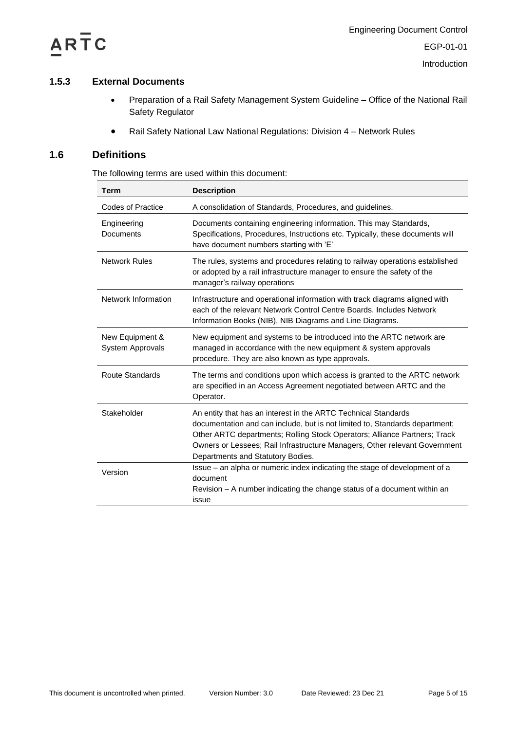

**Introduction** 

## <span id="page-4-0"></span>**1.5.3 External Documents**

- Preparation of a Rail Safety Management System Guideline Office of the National Rail Safety Regulator
- Rail Safety National Law National Regulations: Division 4 Network Rules

## <span id="page-4-1"></span>**1.6 Definitions**

The following terms are used within this document:

| <b>Term</b>                         | <b>Description</b>                                                                                                                                                                                                                                                                                                                            |
|-------------------------------------|-----------------------------------------------------------------------------------------------------------------------------------------------------------------------------------------------------------------------------------------------------------------------------------------------------------------------------------------------|
| <b>Codes of Practice</b>            | A consolidation of Standards, Procedures, and guidelines.                                                                                                                                                                                                                                                                                     |
| Engineering<br><b>Documents</b>     | Documents containing engineering information. This may Standards,<br>Specifications, Procedures, Instructions etc. Typically, these documents will<br>have document numbers starting with 'E'                                                                                                                                                 |
| <b>Network Rules</b>                | The rules, systems and procedures relating to railway operations established<br>or adopted by a rail infrastructure manager to ensure the safety of the<br>manager's railway operations                                                                                                                                                       |
| Network Information                 | Infrastructure and operational information with track diagrams aligned with<br>each of the relevant Network Control Centre Boards, Includes Network<br>Information Books (NIB), NIB Diagrams and Line Diagrams.                                                                                                                               |
| New Equipment &<br>System Approvals | New equipment and systems to be introduced into the ARTC network are<br>managed in accordance with the new equipment & system approvals<br>procedure. They are also known as type approvals.                                                                                                                                                  |
| <b>Route Standards</b>              | The terms and conditions upon which access is granted to the ARTC network<br>are specified in an Access Agreement negotiated between ARTC and the<br>Operator.                                                                                                                                                                                |
| Stakeholder                         | An entity that has an interest in the ARTC Technical Standards<br>documentation and can include, but is not limited to, Standards department;<br>Other ARTC departments; Rolling Stock Operators; Alliance Partners; Track<br>Owners or Lessees; Rail Infrastructure Managers, Other relevant Government<br>Departments and Statutory Bodies. |
| Version                             | Issue – an alpha or numeric index indicating the stage of development of a<br>document<br>Revision – A number indicating the change status of a document within an<br>issue                                                                                                                                                                   |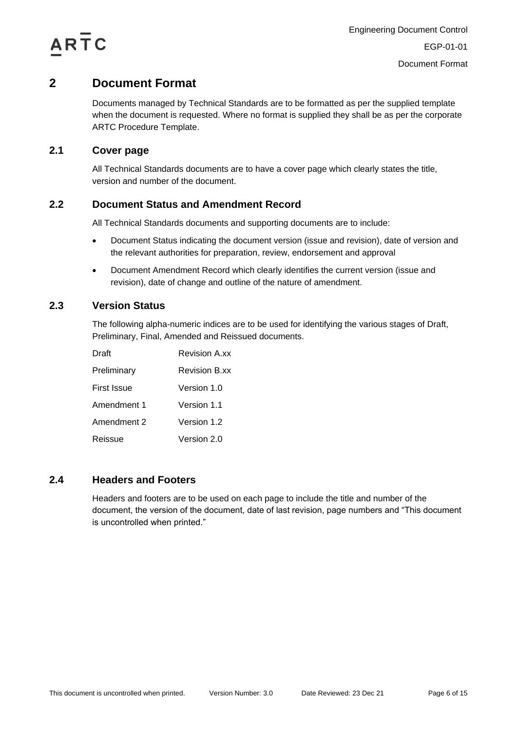

## <span id="page-5-0"></span>**2 Document Format**

Documents managed by Technical Standards are to be formatted as per the supplied template when the document is requested. Where no format is supplied they shall be as per the corporate ARTC Procedure Template.

## <span id="page-5-1"></span>**2.1 Cover page**

All Technical Standards documents are to have a cover page which clearly states the title, version and number of the document.

## <span id="page-5-2"></span>**2.2 Document Status and Amendment Record**

All Technical Standards documents and supporting documents are to include:

- Document Status indicating the document version (issue and revision), date of version and the relevant authorities for preparation, review, endorsement and approval
- Document Amendment Record which clearly identifies the current version (issue and revision), date of change and outline of the nature of amendment.

## <span id="page-5-3"></span>**2.3 Version Status**

The following alpha-numeric indices are to be used for identifying the various stages of Draft, Preliminary, Final, Amended and Reissued documents.

| Draft       | <b>Revision A.xx</b> |
|-------------|----------------------|
| Preliminary | <b>Revision B.xx</b> |
| First Issue | Version 1.0          |
| Amendment 1 | Version 1.1          |
| Amendment 2 | Version 1.2          |
| Reissue     | Version 2.0          |

## <span id="page-5-4"></span>**2.4 Headers and Footers**

Headers and footers are to be used on each page to include the title and number of the document, the version of the document, date of last revision, page numbers and "This document is uncontrolled when printed."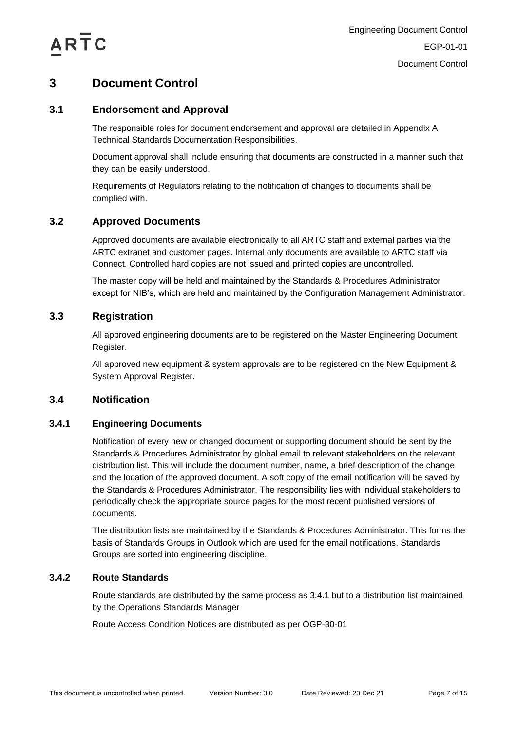

## <span id="page-6-0"></span>**3 Document Control**

## <span id="page-6-1"></span>**3.1 Endorsement and Approval**

The responsible roles for document endorsement and approval are detailed in Appendix A Technical Standards Documentation Responsibilities.

Document approval shall include ensuring that documents are constructed in a manner such that they can be easily understood.

Requirements of Regulators relating to the notification of changes to documents shall be complied with.

## <span id="page-6-2"></span>**3.2 Approved Documents**

Approved documents are available electronically to all ARTC staff and external parties via the ARTC extranet and customer pages. Internal only documents are available to ARTC staff via Connect. Controlled hard copies are not issued and printed copies are uncontrolled.

The master copy will be held and maintained by the Standards & Procedures Administrator except for NIB's, which are held and maintained by the Configuration Management Administrator.

## <span id="page-6-3"></span>**3.3 Registration**

All approved engineering documents are to be registered on the Master Engineering Document Register.

All approved new equipment & system approvals are to be registered on the New Equipment & System Approval Register.

## <span id="page-6-4"></span>**3.4 Notification**

### <span id="page-6-5"></span>**3.4.1 Engineering Documents**

Notification of every new or changed document or supporting document should be sent by the Standards & Procedures Administrator by global email to relevant stakeholders on the relevant distribution list. This will include the document number, name, a brief description of the change and the location of the approved document. A soft copy of the email notification will be saved by the Standards & Procedures Administrator. The responsibility lies with individual stakeholders to periodically check the appropriate source pages for the most recent published versions of documents.

The distribution lists are maintained by the Standards & Procedures Administrator. This forms the basis of Standards Groups in Outlook which are used for the email notifications. Standards Groups are sorted into engineering discipline.

### <span id="page-6-6"></span>**3.4.2 Route Standards**

Route standards are distributed by the same process as [3.4.1](#page-6-5) but to a distribution list maintained by the Operations Standards Manager

Route Access Condition Notices are distributed as per OGP-30-01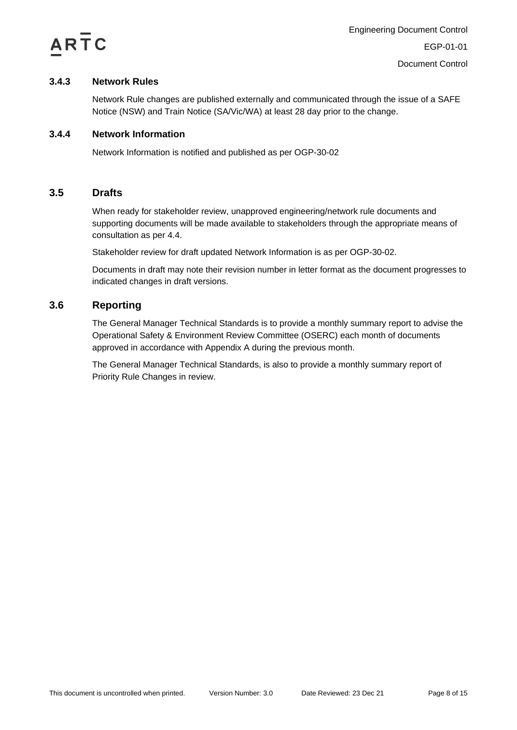

## <span id="page-7-0"></span>**3.4.3 Network Rules**

Network Rule changes are published externally and communicated through the issue of a SAFE Notice (NSW) and Train Notice (SA/Vic/WA) at least 28 day prior to the change.

## <span id="page-7-1"></span>**3.4.4 Network Information**

Network Information is notified and published as per OGP-30-02

## <span id="page-7-2"></span>**3.5 Drafts**

When ready for stakeholder review, unapproved engineering/network rule documents and supporting documents will be made available to stakeholders through the appropriate means of consultation as per [4.4.](#page-13-0)

Stakeholder review for draft updated Network Information is as per OGP-30-02.

Documents in draft may note their revision number in letter format as the document progresses to indicated changes in draft versions.

## <span id="page-7-3"></span>**3.6 Reporting**

The General Manager Technical Standards is to provide a monthly summary report to advise the Operational Safety & Environment Review Committee (OSERC) each month of documents approved in accordance with Appendix A during the previous month.

The General Manager Technical Standards, is also to provide a monthly summary report of Priority Rule Changes in review.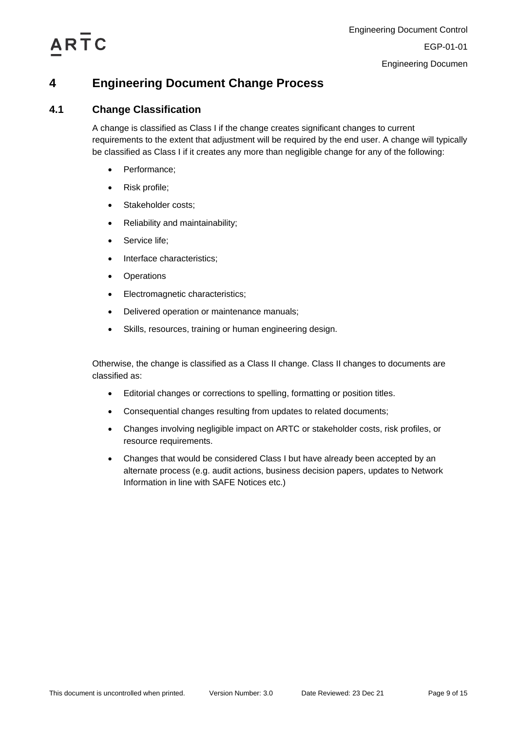

## <span id="page-8-0"></span>**4 Engineering Document Change Process**

## <span id="page-8-1"></span>**4.1 Change Classification**

A change is classified as Class I if the change creates significant changes to current requirements to the extent that adjustment will be required by the end user. A change will typically be classified as Class I if it creates any more than negligible change for any of the following:

- Performance;
- Risk profile;
- Stakeholder costs;
- Reliability and maintainability;
- Service life;
- Interface characteristics;
- Operations
- Electromagnetic characteristics;
- Delivered operation or maintenance manuals;
- Skills, resources, training or human engineering design.

Otherwise, the change is classified as a Class II change. Class II changes to documents are classified as:

- Editorial changes or corrections to spelling, formatting or position titles.
- Consequential changes resulting from updates to related documents;
- Changes involving negligible impact on ARTC or stakeholder costs, risk profiles, or resource requirements.
- Changes that would be considered Class I but have already been accepted by an alternate process (e.g. audit actions, business decision papers, updates to Network Information in line with SAFE Notices etc.)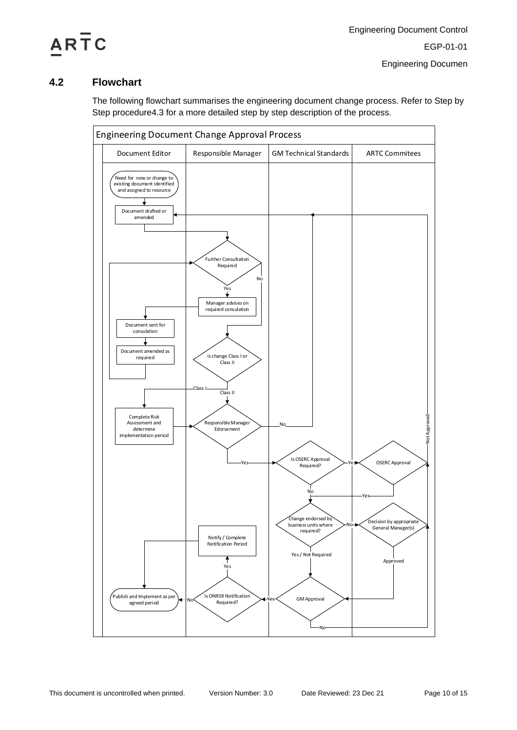

## <span id="page-9-0"></span>**4.2 Flowchart**

The following flowchart summarises the engineering document change process. Refer to [Step by](#page-10-0)  [Step procedure4.3](#page-10-0) for a more detailed step by step description of the process.

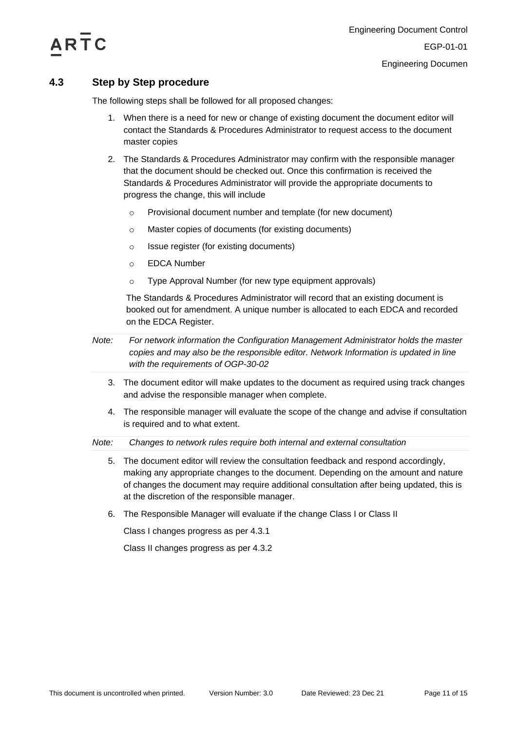

## <span id="page-10-0"></span>**4.3 Step by Step procedure**

The following steps shall be followed for all proposed changes:

- 1. When there is a need for new or change of existing document the document editor will contact the Standards & Procedures Administrator to request access to the document master copies
- 2. The Standards & Procedures Administrator may confirm with the responsible manager that the document should be checked out. Once this confirmation is received the Standards & Procedures Administrator will provide the appropriate documents to progress the change, this will include
	- o Provisional document number and template (for new document)
	- o Master copies of documents (for existing documents)
	- o Issue register (for existing documents)
	- o EDCA Number
	- o Type Approval Number (for new type equipment approvals)

The Standards & Procedures Administrator will record that an existing document is booked out for amendment. A unique number is allocated to each EDCA and recorded on the EDCA Register.

- *Note: For network information the Configuration Management Administrator holds the master copies and may also be the responsible editor. Network Information is updated in line with the requirements of OGP-30-02*
	- 3. The document editor will make updates to the document as required using track changes and advise the responsible manager when complete.
	- 4. The responsible manager will evaluate the scope of the change and advise if consultation is required and to what extent.

*Note: Changes to network rules require both internal and external consultation*

- 5. The document editor will review the consultation feedback and respond accordingly, making any appropriate changes to the document. Depending on the amount and nature of changes the document may require additional consultation after being updated, this is at the discretion of the responsible manager.
- 6. The Responsible Manager will evaluate if the change Class I or Class II

Class I changes progress as per [4.3.1](#page-11-0)

Class II changes progress as per [4.3.2](#page-12-0)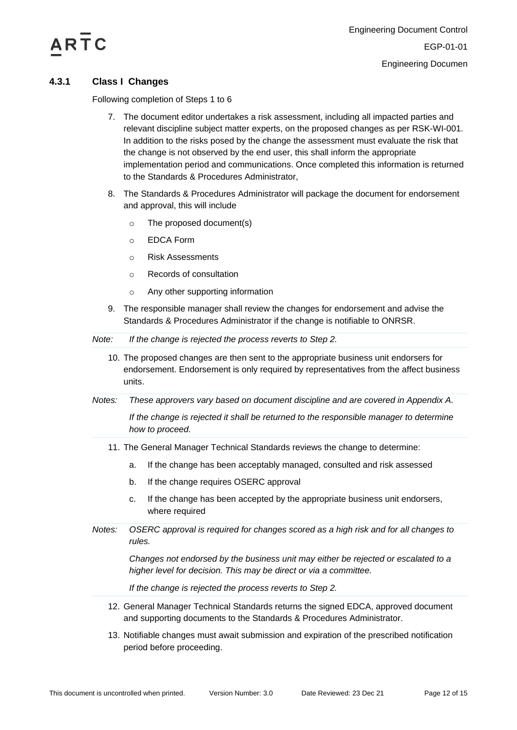

## <span id="page-11-0"></span>**4.3.1 Class I Changes**

Following completion of Steps 1 to 6

- 7. The document editor undertakes a risk assessment, including all impacted parties and relevant discipline subject matter experts, on the proposed changes as per RSK-WI-001. In addition to the risks posed by the change the assessment must evaluate the risk that the change is not observed by the end user, this shall inform the appropriate implementation period and communications. Once completed this information is returned to the Standards & Procedures Administrator,
- 8. The Standards & Procedures Administrator will package the document for endorsement and approval, this will include
	- o The proposed document(s)
	- o EDCA Form
	- o Risk Assessments
	- o Records of consultation
	- o Any other supporting information
- 9. The responsible manager shall review the changes for endorsement and advise the Standards & Procedures Administrator if the change is notifiable to ONRSR.

| If the change is rejected the process reverts to Step 2.<br>Note: |
|-------------------------------------------------------------------|
|-------------------------------------------------------------------|

- 10. The proposed changes are then sent to the appropriate business unit endorsers for endorsement. Endorsement is only required by representatives from the affect business units.
- *Notes: These approvers vary based on document discipline and are covered in Appendix A.*

*If the change is rejected it shall be returned to the responsible manager to determine how to proceed.*

- 11. The General Manager Technical Standards reviews the change to determine:
	- a. If the change has been acceptably managed, consulted and risk assessed
	- b. If the change requires OSERC approval
	- c. If the change has been accepted by the appropriate business unit endorsers, where required
- *Notes: OSERC approval is required for changes scored as a high risk and for all changes to rules.*

*Changes not endorsed by the business unit may either be rejected or escalated to a higher level for decision. This may be direct or via a committee.*

*If the change is rejected the process reverts to Step 2.*

- 12. General Manager Technical Standards returns the signed EDCA, approved document and supporting documents to the Standards & Procedures Administrator.
- 13. Notifiable changes must await submission and expiration of the prescribed notification period before proceeding.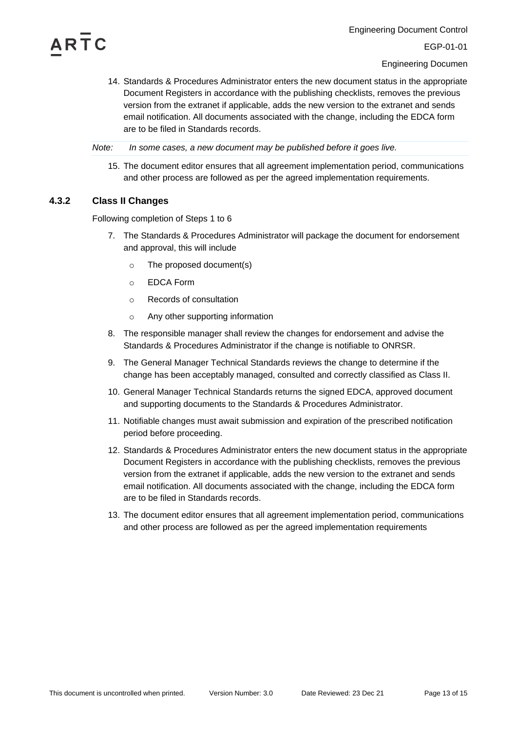

Engineering Documen

14. Standards & Procedures Administrator enters the new document status in the appropriate Document Registers in accordance with the publishing checklists, removes the previous version from the extranet if applicable, adds the new version to the extranet and sends email notification. All documents associated with the change, including the EDCA form are to be filed in Standards records.

*Note: In some cases, a new document may be published before it goes live.*

15. The document editor ensures that all agreement implementation period, communications and other process are followed as per the agreed implementation requirements.

## <span id="page-12-0"></span>**4.3.2 Class II Changes**

Following completion of Steps 1 to 6

- 7. The Standards & Procedures Administrator will package the document for endorsement and approval, this will include
	- o The proposed document(s)
	- o EDCA Form
	- o Records of consultation
	- o Any other supporting information
- 8. The responsible manager shall review the changes for endorsement and advise the Standards & Procedures Administrator if the change is notifiable to ONRSR.
- 9. The General Manager Technical Standards reviews the change to determine if the change has been acceptably managed, consulted and correctly classified as Class II.
- 10. General Manager Technical Standards returns the signed EDCA, approved document and supporting documents to the Standards & Procedures Administrator.
- 11. Notifiable changes must await submission and expiration of the prescribed notification period before proceeding.
- 12. Standards & Procedures Administrator enters the new document status in the appropriate Document Registers in accordance with the publishing checklists, removes the previous version from the extranet if applicable, adds the new version to the extranet and sends email notification. All documents associated with the change, including the EDCA form are to be filed in Standards records.
- 13. The document editor ensures that all agreement implementation period, communications and other process are followed as per the agreed implementation requirements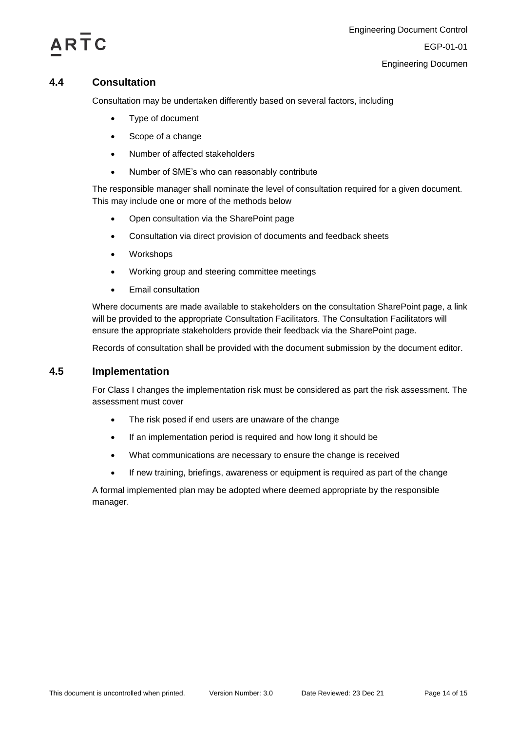

## <span id="page-13-0"></span>**4.4 Consultation**

Consultation may be undertaken differently based on several factors, including

- Type of document
- Scope of a change
- Number of affected stakeholders
- Number of SME's who can reasonably contribute

The responsible manager shall nominate the level of consultation required for a given document. This may include one or more of the methods below

- Open consultation via the SharePoint page
- Consultation via direct provision of documents and feedback sheets
- Workshops
- Working group and steering committee meetings
- Email consultation

Where documents are made available to stakeholders on the consultation SharePoint page, a link will be provided to the appropriate Consultation Facilitators. The Consultation Facilitators will ensure the appropriate stakeholders provide their feedback via the SharePoint page.

Records of consultation shall be provided with the document submission by the document editor.

## <span id="page-13-1"></span>**4.5 Implementation**

For Class I changes the implementation risk must be considered as part the risk assessment. The assessment must cover

- The risk posed if end users are unaware of the change
- If an implementation period is required and how long it should be
- What communications are necessary to ensure the change is received
- If new training, briefings, awareness or equipment is required as part of the change

A formal implemented plan may be adopted where deemed appropriate by the responsible manager.